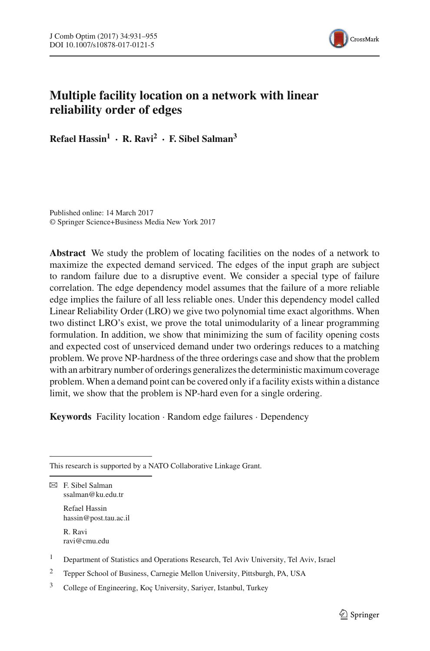

# **Multiple facility location on a network with linear reliability order of edges**

**Refael Hassin1 · R. Ravi<sup>2</sup> · F. Sibel Salman<sup>3</sup>**

Published online: 14 March 2017 © Springer Science+Business Media New York 2017

**Abstract** We study the problem of locating facilities on the nodes of a network to maximize the expected demand serviced. The edges of the input graph are subject to random failure due to a disruptive event. We consider a special type of failure correlation. The edge dependency model assumes that the failure of a more reliable edge implies the failure of all less reliable ones. Under this dependency model called Linear Reliability Order (LRO) we give two polynomial time exact algorithms. When two distinct LRO's exist, we prove the total unimodularity of a linear programming formulation. In addition, we show that minimizing the sum of facility opening costs and expected cost of unserviced demand under two orderings reduces to a matching problem. We prove NP-hardness of the three orderings case and show that the problem with an arbitrary number of orderings generalizes the deterministic maximum coverage problem. When a demand point can be covered only if a facility exists within a distance limit, we show that the problem is NP-hard even for a single ordering.

**Keywords** Facility location · Random edge failures · Dependency

 $\boxtimes$  F. Sibel Salman ssalman@ku.edu.tr

> Refael Hassin hassin@post.tau.ac.il

R. Ravi ravi@cmu.edu

<sup>1</sup> Department of Statistics and Operations Research, Tel Aviv University, Tel Aviv, Israel

<sup>2</sup> Tepper School of Business, Carnegie Mellon University, Pittsburgh, PA, USA

This research is supported by a NATO Collaborative Linkage Grant.

<sup>3</sup> College of Engineering, Koç University, Sariyer, Istanbul, Turkey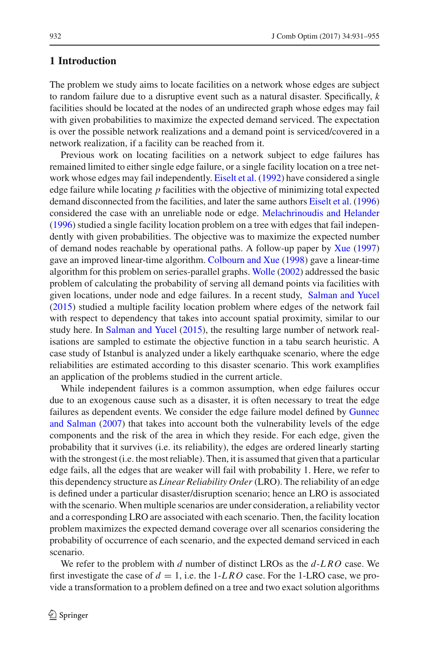## **1 Introduction**

The problem we study aims to locate facilities on a network whose edges are subject to random failure due to a disruptive event such as a natural disaster. Specifically, *k* facilities should be located at the nodes of an undirected graph whose edges may fail with given probabilities to maximize the expected demand serviced. The expectation is over the possible network realizations and a demand point is serviced/covered in a network realization, if a facility can be reached from it.

Previous work on locating facilities on a network subject to edge failures has remained limited to either single edge failure, or a single facility location on a tree network whose edges may fail independently. [Eiselt et al.](#page-24-0) [\(1992](#page-24-0)) have considered a single edge failure while locating *p* facilities with the objective of minimizing total expected demand disconnected from the facilities, and later the same authors [Eiselt et al.](#page-24-1) [\(1996\)](#page-24-1) considered the case with an unreliable node or edge. [Melachrinoudis and Helander](#page-24-2) [\(1996\)](#page-24-2) studied a single facility location problem on a tree with edges that fail independently with given probabilities. The objective was to maximize the expected number of demand nodes reachable by operational paths. A follow-up paper by [Xue](#page-24-3) [\(1997\)](#page-24-3) gave an improved linear-time algorithm. [Colbourn and Xue](#page-24-4) [\(1998](#page-24-4)) gave a linear-time algorithm for this problem on series-parallel graphs. [Wolle](#page-24-5) [\(2002\)](#page-24-5) addressed the basic problem of calculating the probability of serving all demand points via facilities with given locations, under node and edge failures. In a recent study, [Salman and Yucel](#page-24-6) [\(2015\)](#page-24-6) studied a multiple facility location problem where edges of the network fail with respect to dependency that takes into account spatial proximity, similar to our study here. In [Salman and Yucel](#page-24-6) [\(2015\)](#page-24-6), the resulting large number of network realisations are sampled to estimate the objective function in a tabu search heuristic. A case study of Istanbul is analyzed under a likely earthquake scenario, where the edge reliabilities are estimated according to this disaster scenario. This work examplifies an application of the problems studied in the current article.

While independent failures is a common assumption, when edge failures occur due to an exogenous cause such as a disaster, it is often necessary to treat the edge failures as [dependent](#page-24-7) [events.](#page-24-7) [We](#page-24-7) [consider](#page-24-7) [the](#page-24-7) [edge](#page-24-7) [failure](#page-24-7) [model](#page-24-7) [defined](#page-24-7) [by](#page-24-7) Gunnec and Salman [\(2007\)](#page-24-7) that takes into account both the vulnerability levels of the edge components and the risk of the area in which they reside. For each edge, given the probability that it survives (i.e. its reliability), the edges are ordered linearly starting with the strongest (i.e. the most reliable). Then, it is assumed that given that a particular edge fails, all the edges that are weaker will fail with probability 1. Here, we refer to this dependency structure as *Linear Reliability Order* (LRO). The reliability of an edge is defined under a particular disaster/disruption scenario; hence an LRO is associated with the scenario. When multiple scenarios are under consideration, a reliability vector and a corresponding LRO are associated with each scenario. Then, the facility location problem maximizes the expected demand coverage over all scenarios considering the probability of occurrence of each scenario, and the expected demand serviced in each scenario.

We refer to the problem with *d* number of distinct LROs as the *d*-*LRO* case. We first investigate the case of  $d = 1$ , i.e. the 1-LRO case. For the 1-LRO case, we provide a transformation to a problem defined on a tree and two exact solution algorithms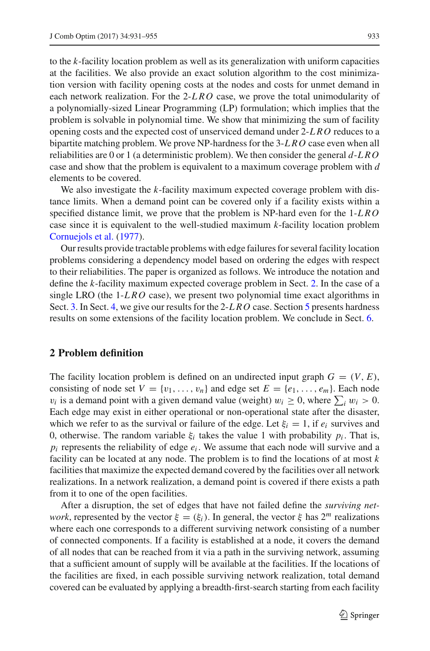to the *k*-facility location problem as well as its generalization with uniform capacities at the facilities. We also provide an exact solution algorithm to the cost minimization version with facility opening costs at the nodes and costs for unmet demand in each network realization. For the 2-*LRO* case, we prove the total unimodularity of a polynomially-sized Linear Programming (LP) formulation; which implies that the problem is solvable in polynomial time. We show that minimizing the sum of facility opening costs and the expected cost of unserviced demand under 2-*LRO* reduces to a bipartite matching problem. We prove NP-hardness for the 3-*LRO* case even when all reliabilities are 0 or 1 (a deterministic problem). We then consider the general *d*-*LRO* case and show that the problem is equivalent to a maximum coverage problem with *d* elements to be covered.

We also investigate the *k*-facility maximum expected coverage problem with distance limits. When a demand point can be covered only if a facility exists within a specified distance limit, we prove that the problem is NP-hard even for the 1-*LRO* case since it is equivalent to the well-studied maximum *k*-facility location problem [Cornuejols et al.](#page-24-8) [\(1977](#page-24-8)).

Our results provide tractable problems with edge failures for several facility location problems considering a dependency model based on ordering the edges with respect to their reliabilities. The paper is organized as follows. We introduce the notation and define the *k*-facility maximum expected coverage problem in Sect. [2.](#page-2-0) In the case of a single LRO (the 1-*LRO* case), we present two polynomial time exact algorithms in Sect. [3.](#page-4-0) In Sect. [4,](#page-8-0) we give our results for the 2-*LRO* case. Section [5](#page-13-0) presents hardness results on some extensions of the facility location problem. We conclude in Sect. [6.](#page-17-0)

## <span id="page-2-0"></span>**2 Problem definition**

The facility location problem is defined on an undirected input graph  $G = (V, E)$ , consisting of node set  $V = \{v_1, \ldots, v_n\}$  and edge set  $E = \{e_1, \ldots, e_m\}$ . Each node  $v_i$  is a demand point with a given demand value (weight)  $w_i \ge 0$ , where  $\sum_i w_i > 0$ . Each edge may exist in either operational or non-operational state after the disaster, which we refer to as the survival or failure of the edge. Let  $\xi_i = 1$ , if  $e_i$  survives and 0, otherwise. The random variable  $\xi_i$  takes the value 1 with probability  $p_i$ . That is,  $p_i$  represents the reliability of edge  $e_i$ . We assume that each node will survive and a facility can be located at any node. The problem is to find the locations of at most *k* facilities that maximize the expected demand covered by the facilities over all network realizations. In a network realization, a demand point is covered if there exists a path from it to one of the open facilities.

After a disruption, the set of edges that have not failed define the *surviving network*, represented by the vector  $\xi = (\xi_i)$ . In general, the vector  $\xi$  has  $2^m$  realizations where each one corresponds to a different surviving network consisting of a number of connected components. If a facility is established at a node, it covers the demand of all nodes that can be reached from it via a path in the surviving network, assuming that a sufficient amount of supply will be available at the facilities. If the locations of the facilities are fixed, in each possible surviving network realization, total demand covered can be evaluated by applying a breadth-first-search starting from each facility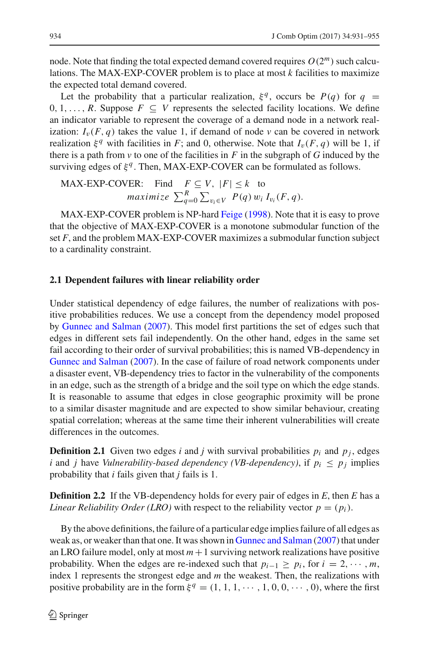node. Note that finding the total expected demand covered requires  $O(2^m)$  such calculations. The MAX-EXP-COVER problem is to place at most *k* facilities to maximize the expected total demand covered.

Let the probability that a particular realization,  $\xi^q$ , occurs be *P(q)* for  $q =$ 0, 1, ..., *R*. Suppose  $F \subseteq V$  represents the selected facility locations. We define an indicator variable to represent the coverage of a demand node in a network realization:  $I_{\nu}(F, q)$  takes the value 1, if demand of node  $\nu$  can be covered in network realization  $\xi^q$  with facilities in *F*; and 0, otherwise. Note that  $I_v(F, q)$  will be 1, if there is a path from  $\nu$  to one of the facilities in  $F$  in the subgraph of  $G$  induced by the surviving edges of  $\xi^q$ . Then, MAX-EXP-COVER can be formulated as follows.

MAX-EXP-COVER: Find 
$$
F \subseteq V
$$
,  $|F| \le k$  to  
maximize  $\sum_{q=0}^{R} \sum_{v_i \in V} P(q) w_i I_{v_i}(F, q)$ .

MAX-EXP-COVER problem is NP-hard [Feige](#page-24-9) [\(1998](#page-24-9)). Note that it is easy to prove that the objective of MAX-EXP-COVER is a monotone submodular function of the set *F*, and the problem MAX-EXP-COVER maximizes a submodular function subject to a cardinality constraint.

### **2.1 Dependent failures with linear reliability order**

Under statistical dependency of edge failures, the number of realizations with positive probabilities reduces. We use a concept from the dependency model proposed by [Gunnec and Salman](#page-24-7) [\(2007\)](#page-24-7). This model first partitions the set of edges such that edges in different sets fail independently. On the other hand, edges in the same set fail according to their order of survival probabilities; this is named VB-dependency in [Gunnec and Salman](#page-24-7) [\(2007\)](#page-24-7). In the case of failure of road network components under a disaster event, VB-dependency tries to factor in the vulnerability of the components in an edge, such as the strength of a bridge and the soil type on which the edge stands. It is reasonable to assume that edges in close geographic proximity will be prone to a similar disaster magnitude and are expected to show similar behaviour, creating spatial correlation; whereas at the same time their inherent vulnerabilities will create differences in the outcomes.

**Definition 2.1** Given two edges *i* and *j* with survival probabilities  $p_i$  and  $p_j$ , edges *i* and *j* have *Vulnerability-based dependency (VB-dependency), if*  $p_i \leq p_j$  *implies* probability that *i* fails given that *j* fails is 1.

**Definition 2.2** If the VB-dependency holds for every pair of edges in *E*, then *E* has a *Linear Reliability Order (LRO)* with respect to the reliability vector  $p = (p_i)$ .

By the above definitions, the failure of a particular edge implies failure of all edges as weak as, or weaker than that one. It was shown in [Gunnec and Salman](#page-24-7) [\(2007\)](#page-24-7) that under an LRO failure model, only at most  $m + 1$  surviving network realizations have positive probability. When the edges are re-indexed such that  $p_{i-1} \geq p_i$ , for  $i = 2, \dots, m$ , index 1 represents the strongest edge and *m* the weakest. Then, the realizations with positive probability are in the form  $\xi^q = (1, 1, 1, \dots, 1, 0, 0, \dots, 0)$ , where the first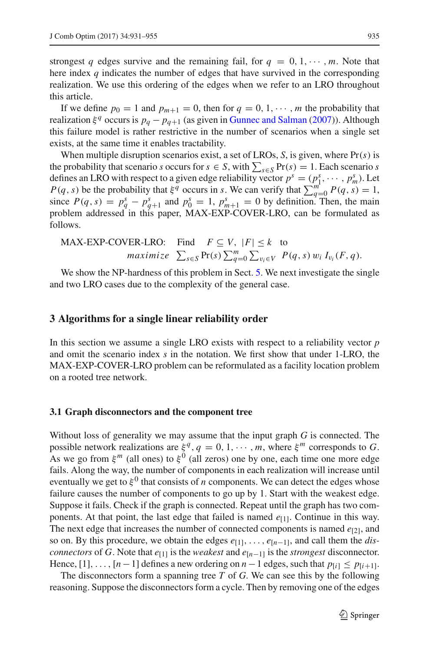strongest *q* edges survive and the remaining fail, for  $q = 0, 1, \cdots, m$ . Note that here index *q* indicates the number of edges that have survived in the corresponding realization. We use this ordering of the edges when we refer to an LRO throughout this article.

If we define  $p_0 = 1$  and  $p_{m+1} = 0$ , then for  $q = 0, 1, \dots, m$  the probability that realization  $\xi^q$  occurs is  $p_q - p_{q+1}$  (as given in [Gunnec and Salman](#page-24-7) [\(2007](#page-24-7))). Although this failure model is rather restrictive in the number of scenarios when a single set exists, at the same time it enables tractability.

When multiple disruption scenarios exist, a set of LROs, *S*, is given, where Pr(*s*) is the probability that scenario *s* occurs for  $s \in S$ , with  $\sum_{s \in S} Pr(s) = 1$ . Each scenario *s* defines an LRO with respect to a given edge reliability vector  $p^s = (p_1^s, \dots, p_m^s)$ . Let *P*(*q*,*s*) be the probability that  $\xi^{\bar{q}}$  occurs in *s*. We can verify that  $\sum_{q=0}^{m} P(q, s) = 1$ , since  $P(q, s) = p_q^s - p_{q+1}^s$  and  $p_0^s = 1$ ,  $p_{m+1}^s = 0$  by definition. Then, the main problem addressed in this paper, MAX-EXP-COVER-LRO, can be formulated as follows.

MAX-EXP-COVER-LRO: Find 
$$
F \subseteq V
$$
,  $|F| \le k$  to  
maximize  $\sum_{s \in S} Pr(s) \sum_{q=0}^{m} \sum_{v_i \in V} P(q, s) w_i I_{v_i}(F, q)$ .

We show the NP-hardness of this problem in Sect. [5.](#page-13-0) We next investigate the single and two LRO cases due to the complexity of the general case.

#### <span id="page-4-0"></span>**3 Algorithms for a single linear reliability order**

In this section we assume a single LRO exists with respect to a reliability vector *p* and omit the scenario index *s* in the notation. We first show that under 1-LRO, the MAX-EXP-COVER-LRO problem can be reformulated as a facility location problem on a rooted tree network.

### **3.1 Graph disconnectors and the component tree**

Without loss of generality we may assume that the input graph *G* is connected. The possible network realizations are  $\xi^q$ ,  $q = 0, 1, \dots, m$ , where  $\xi^m$  corresponds to *G*. As we go from  $\xi^{m}$  (all ones) to  $\xi^{0}$  (all zeros) one by one, each time one more edge fails. Along the way, the number of components in each realization will increase until eventually we get to  $\xi^0$  that consists of *n* components. We can detect the edges whose failure causes the number of components to go up by 1. Start with the weakest edge. Suppose it fails. Check if the graph is connected. Repeat until the graph has two components. At that point, the last edge that failed is named  $e_{[1]}$ . Continue in this way. The next edge that increases the number of connected components is named  $e_{[2]}$ , and so on. By this procedure, we obtain the edges  $e_{[1]}, \ldots, e_{[n-1]}$ , and call them the *disconnectors* of *G*. Note that  $e_{[1]}$  is the *weakest* and  $e_{[n-1]}$  is the *strongest* disconnector. Hence, [1], ..., [*n* − 1] defines a new ordering on *n* − 1 edges, such that  $p_{[i]} \leq p_{[i+1]}$ .

The disconnectors form a spanning tree *T* of *G*. We can see this by the following reasoning. Suppose the disconnectors form a cycle. Then by removing one of the edges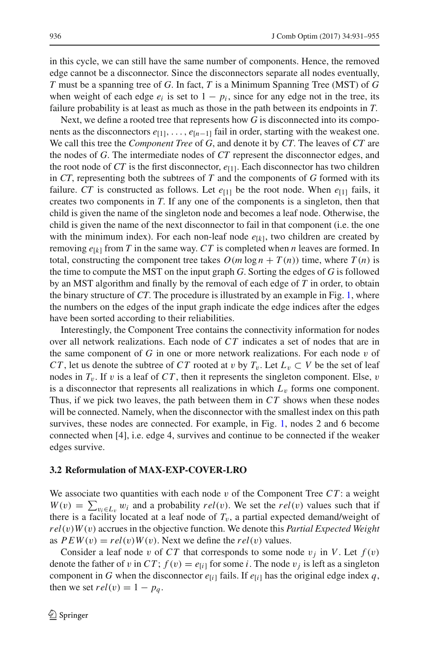in this cycle, we can still have the same number of components. Hence, the removed edge cannot be a disconnector. Since the disconnectors separate all nodes eventually, *T* must be a spanning tree of *G*. In fact, *T* is a Minimum Spanning Tree (MST) of *G* when weight of each edge  $e_i$  is set to  $1 - p_i$ , since for any edge not in the tree, its failure probability is at least as much as those in the path between its endpoints in *T*.

Next, we define a rooted tree that represents how *G* is disconnected into its components as the disconnectors  $e_{[1]}, \ldots, e_{[n-1]}$  fail in order, starting with the weakest one. We call this tree the *Component Tree* of *G*, and denote it by *CT*. The leaves of *CT* are the nodes of *G*. The intermediate nodes of *CT* represent the disconnector edges, and the root node of  $CT$  is the first disconnector,  $e_{[1]}$ . Each disconnector has two children in *CT*, representing both the subtrees of *T* and the components of *G* formed with its failure. *CT* is constructed as follows. Let  $e_{[1]}$  be the root node. When  $e_{[1]}$  fails, it creates two components in *T*. If any one of the components is a singleton, then that child is given the name of the singleton node and becomes a leaf node. Otherwise, the child is given the name of the next disconnector to fail in that component (i.e. the one with the minimum index). For each non-leaf node  $e_{[k]}$ , two children are created by removing  $e_{[k]}$  from *T* in the same way. *CT* is completed when *n* leaves are formed. In total, constructing the component tree takes  $O(m \log n + T(n))$  time, where  $T(n)$  is the time to compute the MST on the input graph *G*. Sorting the edges of *G* is followed by an MST algorithm and finally by the removal of each edge of *T* in order, to obtain the binary structure of *CT*. The procedure is illustrated by an example in Fig. [1,](#page-6-0) where the numbers on the edges of the input graph indicate the edge indices after the edges have been sorted according to their reliabilities.

Interestingly, the Component Tree contains the connectivity information for nodes over all network realizations. Each node of *CT* indicates a set of nodes that are in the same component of  $G$  in one or more network realizations. For each node  $v$  of *CT*, let us denote the subtree of *CT* rooted at v by  $T_v$ . Let  $L_v \subset V$  be the set of leaf nodes in  $T_v$ . If v is a leaf of  $CT$ , then it represents the singleton component. Else, v is a disconnector that represents all realizations in which  $L<sub>v</sub>$  forms one component. Thus, if we pick two leaves, the path between them in *CT* shows when these nodes will be connected. Namely, when the disconnector with the smallest index on this path survives, these nodes are connected. For example, in Fig. [1,](#page-6-0) nodes 2 and 6 become connected when [4], i.e. edge 4, survives and continue to be connected if the weaker edges survive.

#### **3.2 Reformulation of MAX-EXP-COVER-LRO**

We associate two quantities with each node  $v$  of the Component Tree  $CT$ : a weight  $W(v) = \sum_{v_i \in L_v} w_i$  and a probability *rel*(*v*). We set the *rel*(*v*) values such that if there is a facility located at a leaf node of  $T_v$ , a partial expected demand/weight of *rel*(v)*W*(v) accrues in the objective function. We denote this *Partial Expected Weight* as  $PEW(v) = rel(v)W(v)$ . Next we define the  $rel(v)$  values.

Consider a leaf node v of CT that corresponds to some node  $v_i$  in V. Let  $f(v)$ denote the father of v in  $CT$ ;  $f(v) = e_{[i]}$  for some *i*. The node  $v_i$  is left as a singleton component in *G* when the disconnector  $e_{[i]}$  fails. If  $e_{[i]}$  has the original edge index *q*, then we set  $rel(v) = 1 - p_q$ .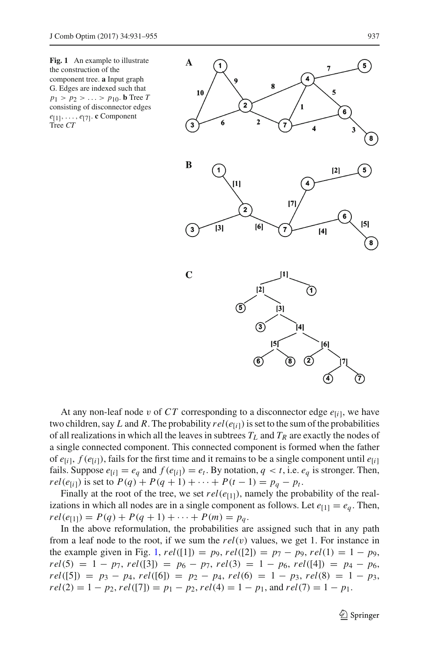<span id="page-6-0"></span>**Fig. 1** An example to illustrate the construction of the component tree. **a** Input graph G. Edges are indexed such that  $p_1 > p_2 > ... > p_{10}$ . **b** Tree *T* consisting of disconnector edges *e*[1],..., *e*[7]. **c** Component Tree *CT*



At any non-leaf node v of  $CT$  corresponding to a disconnector edge  $e_{[i]}$ , we have two children, say *L* and *R*. The probability  $rel(e_{[i]})$  is set to the sum of the probabilities of all realizations in which all the leaves in subtrees  $T_L$  and  $T_R$  are exactly the nodes of a single connected component. This connected component is formed when the father of  $e_{[i]}$ ,  $f(e_{[i]})$ , fails for the first time and it remains to be a single component until  $e_{[i]}$ fails. Suppose  $e_{[i]} = e_q$  and  $f(e_{[i]}) = e_t$ . By notation,  $q < t$ , i.e.  $e_q$  is stronger. Then, *rel*( $e_{[i]}$ ) is set to  $P(q) + P(q + 1) + \cdots + P(t - 1) = p_q - p_t$ .

Finally at the root of the tree, we set  $rel(e_{[1]})$ , namely the probability of the realizations in which all nodes are in a single component as follows. Let  $e_{[1]} = e_q$ . Then,  $rel(e_{[1]}) = P(q) + P(q+1) + \cdots + P(m) = p_q.$ 

In the above reformulation, the probabilities are assigned such that in any path from a leaf node to the root, if we sum the  $rel(v)$  values, we get 1. For instance in the example given in Fig. [1,](#page-6-0)  $rel([1]) = p_9$ ,  $rel([2]) = p_7 - p_9$ ,  $rel(1) = 1 - p_9$ ,  $rel(5) = 1 - p_7$ ,  $rel([3]) = p_6 - p_7$ ,  $rel(3) = 1 - p_6$ ,  $rel([4]) = p_4 - p_6$ ,  $rel([5]) = p_3 - p_4$ ,  $rel([6]) = p_2 - p_4$ ,  $rel(6) = 1 - p_3$ ,  $rel(8) = 1 - p_3$ ,  $rel(2) = 1 - p_2$ ,  $rel([7]) = p_1 - p_2$ ,  $rel(4) = 1 - p_1$ , and  $rel(7) = 1 - p_1$ .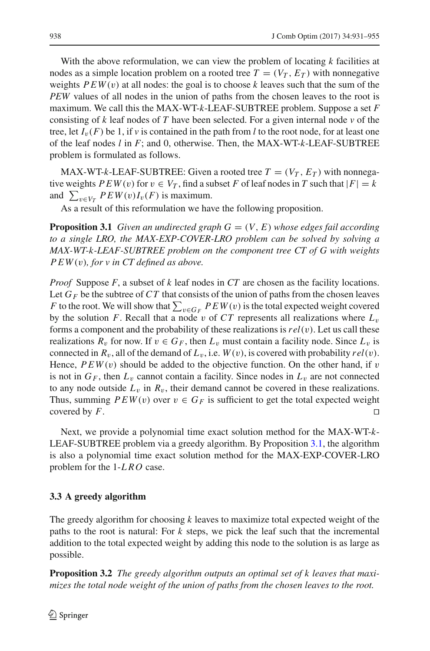With the above reformulation, we can view the problem of locating *k* facilities at nodes as a simple location problem on a rooted tree  $T = (V_T, E_T)$  with nonnegative weights  $PEW(v)$  at all nodes: the goal is to choose k leaves such that the sum of the *PEW* values of all nodes in the union of paths from the chosen leaves to the root is maximum. We call this the MAX-WT-*k*-LEAF-SUBTREE problem. Suppose a set *F* consisting of *k* leaf nodes of *T* have been selected. For a given internal node *v* of the tree, let  $I_v(F)$  be 1, if *v* is contained in the path from *l* to the root node, for at least one of the leaf nodes *l* in *F*; and 0, otherwise. Then, the MAX-WT-*k*-LEAF-SUBTREE problem is formulated as follows.

MAX-WT-*k*-LEAF-SUBTREE: Given a rooted tree  $T = (V_T, E_T)$  with nonnegative weights  $PEW(v)$  for  $v \in V_T$ , find a subset *F* of leaf nodes in *T* such that  $|F| = k$ and  $\sum_{v \in V_T} P E W(v) I_v(F)$  is maximum.

<span id="page-7-0"></span>As a result of this reformulation we have the following proposition.

**Proposition 3.1** *Given an undirected graph*  $G = (V, E)$  *whose edges fail according to a single LRO, the MAX-EXP-COVER-LRO problem can be solved by solving a MAX-WT-k-LEAF-SUBTREE problem on the component tree CT of G with weights PEW*(v)*, for v in CT defined as above.*

*Proof* Suppose *F*, a subset of *k* leaf nodes in *CT* are chosen as the facility locations. Let  $G_F$  be the subtree of  $CT$  that consists of the union of paths from the chosen leaves *F* to the root. We will show that  $\sum_{v \in G_F} P E W(v)$  is the total expected weight covered by the solution *F*. Recall that a node v of *CT* represents all realizations where  $L_v$ forms a component and the probability of these realizations is*rel*(v). Let us call these realizations  $R_v$  for now. If  $v \in G_F$ , then  $L_v$  must contain a facility node. Since  $L_v$  is connected in  $R_v$ , all of the demand of  $L_v$ , i.e.  $W(v)$ , is covered with probability  $rel(v)$ . Hence,  $PEW(v)$  should be added to the objective function. On the other hand, if v is not in  $G_F$ , then  $L_v$  cannot contain a facility. Since nodes in  $L_v$  are not connected to any node outside  $L_v$  in  $R_v$ , their demand cannot be covered in these realizations. Thus, summing  $PEW(v)$  over  $v \in G_F$  is sufficient to get the total expected weight covered by  $F$ . covered by *F*.

Next, we provide a polynomial time exact solution method for the MAX-WT-*k*-LEAF-SUBTREE problem via a greedy algorithm. By Proposition [3.1,](#page-7-0) the algorithm is also a polynomial time exact solution method for the MAX-EXP-COVER-LRO problem for the 1-*LRO* case.

## **3.3 A greedy algorithm**

The greedy algorithm for choosing *k* leaves to maximize total expected weight of the paths to the root is natural: For *k* steps, we pick the leaf such that the incremental addition to the total expected weight by adding this node to the solution is as large as possible.

**Proposition 3.2** *The greedy algorithm outputs an optimal set of k leaves that maximizes the total node weight of the union of paths from the chosen leaves to the root.*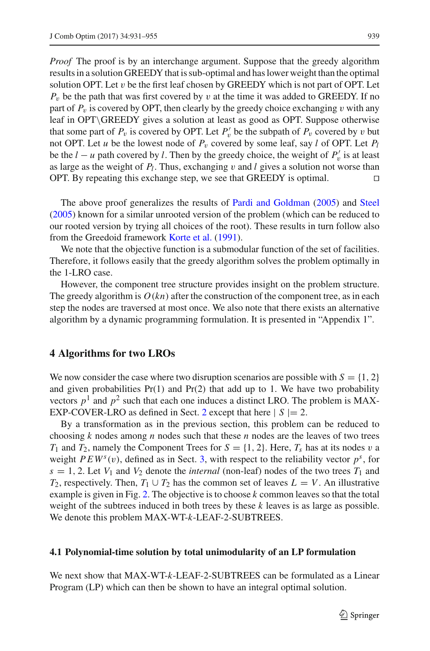*Proof* The proof is by an interchange argument. Suppose that the greedy algorithm results in a solution GREEDY that is sub-optimal and has lower weight than the optimal solution OPT. Let  $v$  be the first leaf chosen by GREEDY which is not part of OPT. Let  $P_v$  be the path that was first covered by v at the time it was added to GREEDY. If no part of  $P_v$  is covered by OPT, then clearly by the greedy choice exchanging v with any leaf in OPT\GREEDY gives a solution at least as good as OPT. Suppose otherwise that some part of  $P_v$  is covered by OPT. Let  $P'_v$  be the subpath of  $P_v$  covered by v but not OPT. Let *u* be the lowest node of  $P_v$  covered by some leaf, say *l* of OPT. Let  $P_l$ be the  $l - u$  path covered by *l*. Then by the greedy choice, the weight of  $P'_v$  is at least as large as the weight of *Pl*. Thus, exchanging v and *l* gives a solution not worse than OPT. By repeating this exchange step, we see that GREEDY is optimal.  $\Box$ 

The above proof generalizes the results of [Pardi and Goldman](#page-24-10) [\(2005\)](#page-24-10) and [Steel](#page-24-11) [\(2005\)](#page-24-11) known for a similar unrooted version of the problem (which can be reduced to our rooted version by trying all choices of the root). These results in turn follow also from the Greedoid framework [Korte et al.](#page-24-12) [\(1991\)](#page-24-12).

We note that the objective function is a submodular function of the set of facilities. Therefore, it follows easily that the greedy algorithm solves the problem optimally in the 1-LRO case.

However, the component tree structure provides insight on the problem structure. The greedy algorithm is  $O(kn)$  after the construction of the component tree, as in each step the nodes are traversed at most once. We also note that there exists an alternative algorithm by a dynamic programming formulation. It is presented in "Appendix 1".

## <span id="page-8-0"></span>**4 Algorithms for two LROs**

We now consider the case where two disruption scenarios are possible with  $S = \{1, 2\}$ and given probabilities  $Pr(1)$  and  $Pr(2)$  that add up to 1. We have two probability vectors  $p<sup>1</sup>$  and  $p<sup>2</sup>$  such that each one induces a distinct LRO. The problem is MAX-EXP-COVER-LRO as defined in Sect. [2](#page-2-0) except that here  $|S| = 2$ .

By a transformation as in the previous section, this problem can be reduced to choosing *k* nodes among *n* nodes such that these *n* nodes are the leaves of two trees  $T_1$  and  $T_2$ , namely the Component Trees for  $S = \{1, 2\}$ . Here,  $T_s$  has at its nodes v a weight  $PEW<sup>s</sup>(v)$ , defined as in Sect. [3,](#page-4-0) with respect to the reliability vector  $p<sup>s</sup>$ , for  $s = 1, 2$ . Let  $V_1$  and  $V_2$  denote the *internal* (non-leaf) nodes of the two trees  $T_1$  and *T*<sub>2</sub>, respectively. Then, *T*<sub>1</sub> ∪ *T*<sub>2</sub> has the common set of leaves *L* = *V*. An illustrative example is given in Fig. [2.](#page-9-0) The objective is to choose *k* common leaves so that the total weight of the subtrees induced in both trees by these *k* leaves is as large as possible. We denote this problem MAX-WT-*k*-LEAF-2-SUBTREES.

#### **4.1 Polynomial-time solution by total unimodularity of an LP formulation**

We next show that MAX-WT-*k*-LEAF-2-SUBTREES can be formulated as a Linear Program (LP) which can then be shown to have an integral optimal solution.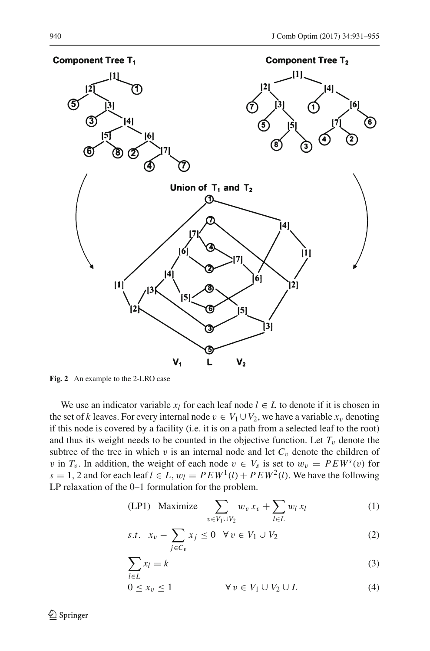

<span id="page-9-0"></span>**Fig. 2** An example to the 2-LRO case

We use an indicator variable  $x_l$  for each leaf node  $l \in L$  to denote if it is chosen in the set of *k* leaves. For every internal node  $v \in V_1 \cup V_2$ , we have a variable  $x_v$  denoting if this node is covered by a facility (i.e. it is on a path from a selected leaf to the root) and thus its weight needs to be counted in the objective function. Let  $T_v$  denote the subtree of the tree in which v is an internal node and let  $C_v$  denote the children of v in  $T_v$ . In addition, the weight of each node  $v \in V_s$  is set to  $w_v = PEW^s(v)$  for  $s = 1, 2$  and for each leaf  $l \in L$ ,  $w_l = P E W^1(l) + P E W^2(l)$ . We have the following LP relaxation of the 0–1 formulation for the problem.

<span id="page-9-1"></span>
$$
(LP1) \quad \text{Maximize} \quad \sum_{v \in V_1 \cup V_2} w_v x_v + \sum_{l \in L} w_l x_l \tag{1}
$$

$$
s.t. \quad x_v - \sum_{j \in C_v} x_j \le 0 \quad \forall \, v \in V_1 \cup V_2 \tag{2}
$$

$$
\sum_{l \in L} x_l = k \tag{3}
$$

$$
0 \le x_v \le 1 \qquad \forall v \in V_1 \cup V_2 \cup L \tag{4}
$$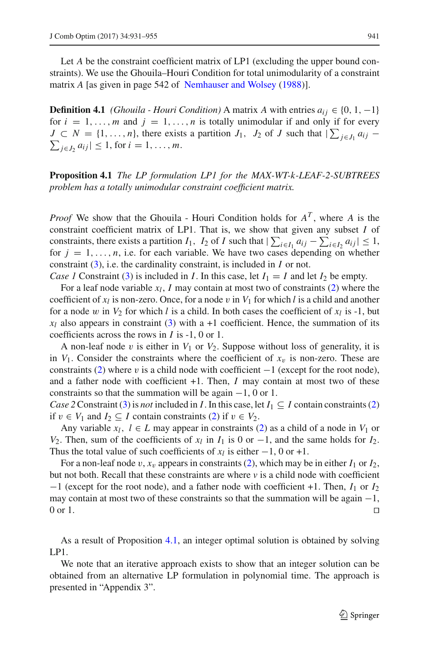Let *A* be the constraint coefficient matrix of LP1 (excluding the upper bound constraints). We use the Ghouila–Houri Condition for total unimodularity of a constraint matrix *A* [as given in page 542 of [Nemhauser and Wolsey](#page-24-13) [\(1988](#page-24-13))].

**Definition 4.1** *(Ghouila - Houri Condition)* A matrix *A* with entries  $a_{ij} \in \{0, 1, -1\}$ for  $i = 1, \ldots, m$  and  $j = 1, \ldots, n$  is totally unimodular if and only if for every  $J \subset N = \{1, \ldots, n\}$ , there exists a partition  $J_1$ ,  $J_2$  of  $J$  such that  $|\sum_{j \in J_1} a_{ij} - \sum_{j \in J_2} a_{ij}| \leq 1$ , for  $i = 1, \ldots, m$ .  $\sum_{i \in J_2} a_{ij} \leq 1$ , for  $i = 1, \ldots, m$ .

<span id="page-10-0"></span>**Proposition 4.1** *The LP formulation LP1 for the MAX-WT-k-LEAF-2-SUBTREES problem has a totally unimodular constraint coefficient matrix.*

*Proof* We show that the Ghouila - Houri Condition holds for  $A<sup>T</sup>$ , where A is the constraint coefficient matrix of LP1. That is, we show that given any subset *I* of constraints, there exists a partition  $I_1$ ,  $I_2$  of  $I$  such that  $|\sum_{i \in I_1} a_{ij} - \sum_{i \in I_2} a_{ij}| \leq 1$ , for  $j = 1, \ldots, n$ , i.e. for each variable. We have two cases depending on whether constraint [\(3\)](#page-9-1), i.e. the cardinality constraint, is included in *I* or not.

*Case 1* Constraint [\(3\)](#page-9-1) is included in *I*. In this case, let  $I_1 = I$  and let  $I_2$  be empty.

For a leaf node variable  $x_l$ , *I* may contain at most two of constraints [\(2\)](#page-9-1) where the coefficient of  $x_l$  is non-zero. Once, for a node v in  $V_1$  for which l is a child and another for a node w in  $V_2$  for which *l* is a child. In both cases the coefficient of  $x_l$  is -1, but  $x_l$  also appears in constraint [\(3\)](#page-9-1) with a +1 coefficient. Hence, the summation of its coefficients across the rows in *I* is -1, 0 or 1.

A non-leaf node v is either in  $V_1$  or  $V_2$ . Suppose without loss of generality, it is in  $V_1$ . Consider the constraints where the coefficient of  $x<sub>v</sub>$  is non-zero. These are constraints [\(2\)](#page-9-1) where v is a child node with coefficient  $-1$  (except for the root node), and a father node with coefficient +1. Then, *I* may contain at most two of these constraints so that the summation will be again  $-1$ , 0 or 1.

*Case 2* Constraint [\(3\)](#page-9-1) is *not* included in *I*. In this case, let  $I_1 \subseteq I$  contain constraints [\(2\)](#page-9-1) if *v* ∈ *V*<sub>1</sub> and *I*<sub>2</sub> ⊆ *I* contain constraints [\(2\)](#page-9-1) if *v* ∈ *V*<sub>2</sub>.

Any variable  $x_l$ ,  $l \in L$  may appear in constraints [\(2\)](#page-9-1) as a child of a node in  $V_1$  or *V*<sub>2</sub>. Then, sum of the coefficients of  $x_l$  in  $I_1$  is 0 or −1, and the same holds for  $I_2$ . Thus the total value of such coefficients of  $x_l$  is either  $-1$ , 0 or +1.

For a non-leaf node  $v$ ,  $x_v$  appears in constraints [\(2\)](#page-9-1), which may be in either  $I_1$  or  $I_2$ , but not both. Recall that these constraints are where  $\nu$  is a child node with coefficient −1 (except for the root node), and a father node with coefficient +1. Then, *I*<sup>1</sup> or *I*<sup>2</sup> may contain at most two of these constraints so that the summation will be again  $-1$ , 0 or 1.  $0 \text{ or } 1.$ 

As a result of Proposition [4.1,](#page-10-0) an integer optimal solution is obtained by solving LP1.

We note that an iterative approach exists to show that an integer solution can be obtained from an alternative LP formulation in polynomial time. The approach is presented in "Appendix 3".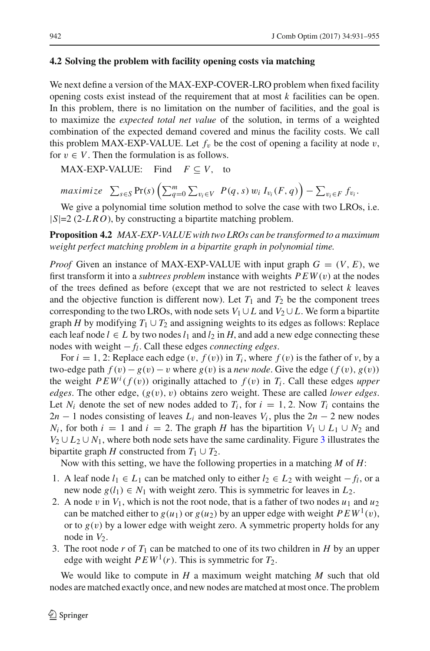#### **4.2 Solving the problem with facility opening costs via matching**

We next define a version of the MAX-EXP-COVER-LRO problem when fixed facility opening costs exist instead of the requirement that at most *k* facilities can be open. In this problem, there is no limitation on the number of facilities, and the goal is to maximize the *expected total net value* of the solution, in terms of a weighted combination of the expected demand covered and minus the facility costs. We call this problem MAX-EXP-VALUE. Let  $f<sub>v</sub>$  be the cost of opening a facility at node v, for  $v \in V$ . Then the formulation is as follows.

MAX-EXP-VALUE: Find  $F \subset V$ , to

$$
maximize \sum_{s \in S} \Pr(s) \left( \sum_{q=0}^{m} \sum_{v_i \in V} P(q, s) w_i I_{v_i}(F, q) \right) - \sum_{v_i \in F} f_{v_i}.
$$

We give a polynomial time solution method to solve the case with two LROs, i.e. |*S*|=2 (2-*LRO*), by constructing a bipartite matching problem.

**Proposition 4.2** *MAX-EXP-VALUE with two LROs can be transformed to a maximum weight perfect matching problem in a bipartite graph in polynomial time.*

*Proof* Given an instance of MAX-EXP-VALUE with input graph  $G = (V, E)$ , we first transform it into a *subtrees problem* instance with weights  $PEW(v)$  at the nodes of the trees defined as before (except that we are not restricted to select *k* leaves and the objective function is different now). Let  $T_1$  and  $T_2$  be the component trees corresponding to the two LROs, with node sets  $V_1 \cup L$  and  $V_2 \cup L$ . We form a bipartite graph *H* by modifying  $T_1 \cup T_2$  and assigning weights to its edges as follows: Replace each leaf node  $l \in L$  by two nodes  $l_1$  and  $l_2$  in *H*, and add a new edge connecting these nodes with weight − *fl*. Call these edges *connecting edges*.

For  $i = 1, 2$ : Replace each edge  $(v, f(v))$  in  $T_i$ , where  $f(v)$  is the father of v, by a two-edge path  $f(v) - g(v) - v$  where  $g(v)$  is a *new node*. Give the edge  $(f(v), g(v))$ the weight  $PEW<sup>i</sup>(f(v))$  originally attached to  $f(v)$  in  $T<sub>i</sub>$ . Call these edges *upper edges*. The other edge, (*g*(v), v) obtains zero weight. These are called *lower edges*. Let  $N_i$  denote the set of new nodes added to  $T_i$ , for  $i = 1, 2$ . Now  $T_i$  contains the  $2n - 1$  nodes consisting of leaves  $L_i$  and non-leaves  $V_i$ , plus the  $2n - 2$  new nodes *N<sub>i</sub>*, for both  $i = 1$  and  $i = 2$ . The graph *H* has the bipartition  $V_1 \cup L_1 \cup N_2$  and  $V_2 \cup L_2 \cup N_1$ , where both node sets have the same cardinality. Figure [3](#page-12-0) illustrates the bipartite graph *H* constructed from  $T_1 \cup T_2$ .

Now with this setting, we have the following properties in a matching *M* of *H*:

- 1. A leaf node  $l_1$  ∈  $L_1$  can be matched only to either  $l_2$  ∈  $L_2$  with weight  $-f_l$ , or a new node  $g(l_1) \in N_1$  with weight zero. This is symmetric for leaves in  $L_2$ .
- 2. A node v in  $V_1$ , which is not the root node, that is a father of two nodes  $u_1$  and  $u_2$ can be matched either to  $g(u_1)$  or  $g(u_2)$  by an upper edge with weight  $PEW^1(v)$ , or to  $g(v)$  by a lower edge with weight zero. A symmetric property holds for any node in  $V_2$ .
- 3. The root node *r* of  $T_1$  can be matched to one of its two children in *H* by an upper edge with weight  $PEW<sup>1</sup>(r)$ . This is symmetric for  $T_2$ .

We would like to compute in *H* a maximum weight matching *M* such that old nodes are matched exactly once, and new nodes are matched at most once. The problem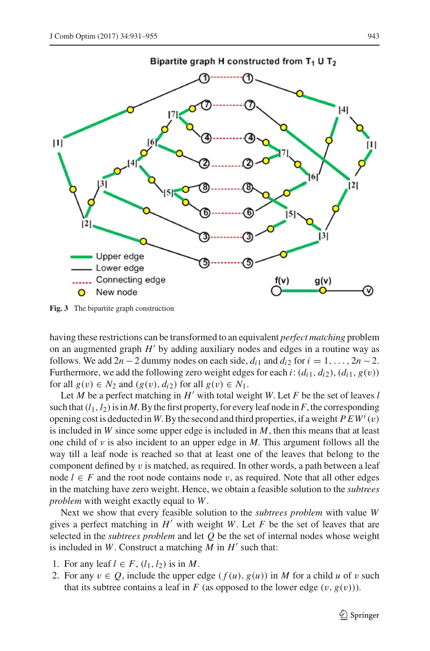

<span id="page-12-0"></span>**Fig. 3** The bipartite graph construction

having these restrictions can be transformed to an equivalent *perfect matching* problem on an augmented graph  $H'$  by adding auxiliary nodes and edges in a routine way as follows. We add  $2n - 2$  dummy nodes on each side,  $d_{i1}$  and  $d_{i2}$  for  $i = 1, \ldots, 2n - 2$ . Furthermore, we add the following zero weight edges for each *i*:  $(d_{i1}, d_{i2}), (d_{i1}, g(v))$ for all  $g(v) \in N_2$  and  $(g(v), d_{i2})$  for all  $g(v) \in N_1$ .

Let *M* be a perfect matching in  $H'$  with total weight *W*. Let *F* be the set of leaves *l* such that  $(l_1, l_2)$  is in *M*. By the first property, for every leaf node in *F*, the corresponding opening cost is deducted in W. By the second and third properties, if a weight  $PEW<sup>i</sup>(v)$ is included in *W* since some upper edge is included in *M*, then this means that at least one child of  $\nu$  is also incident to an upper edge in *M*. This argument follows all the way till a leaf node is reached so that at least one of the leaves that belong to the component defined by  $v$  is matched, as required. In other words, a path between a leaf node  $l \in F$  and the root node contains node v, as required. Note that all other edges in the matching have zero weight. Hence, we obtain a feasible solution to the *subtrees problem* with weight exactly equal to *W*.

Next we show that every feasible solution to the *subtrees problem* with value *W* gives a perfect matching in  $H'$  with weight *W*. Let *F* be the set of leaves that are selected in the *subtrees problem* and let *Q* be the set of internal nodes whose weight is included in  $W$ . Construct a matching  $M$  in  $H'$  such that:

- 1. For any leaf  $l \in F$ ,  $(l_1, l_2)$  is in M.
- 2. For any  $v \in Q$ , include the upper edge  $(f(u), g(u))$  in *M* for a child *u* of *v* such that its subtree contains a leaf in  $F$  (as opposed to the lower edge  $(v, g(v))$ ).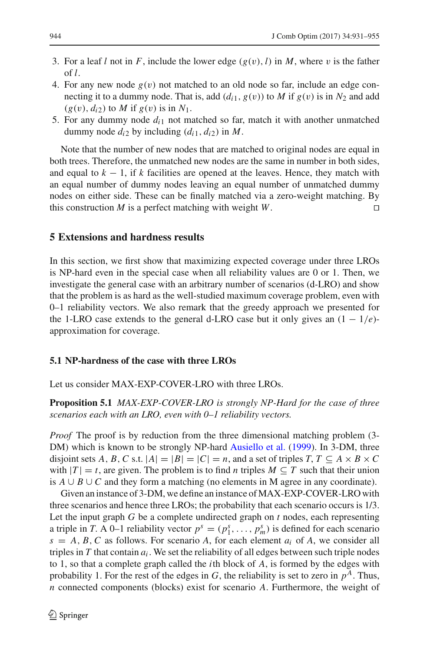- 3. For a leaf *l* not in *F*, include the lower edge  $(g(v), l)$  in *M*, where *v* is the father of *l*.
- 4. For any new node  $g(v)$  not matched to an old node so far, include an edge connecting it to a dummy node. That is, add  $(d_{i1}, g(v))$  to *M* if  $g(v)$  is in  $N_2$  and add  $(g(v), d_{i2})$  to *M* if  $g(v)$  is in  $N_1$ .
- 5. For any dummy node *di*<sup>1</sup> not matched so far, match it with another unmatched dummy node  $d_{i2}$  by including  $(d_{i1}, d_{i2})$  in M.

Note that the number of new nodes that are matched to original nodes are equal in both trees. Therefore, the unmatched new nodes are the same in number in both sides, and equal to  $k - 1$ , if k facilities are opened at the leaves. Hence, they match with an equal number of dummy nodes leaving an equal number of unmatched dummy nodes on either side. These can be finally matched via a zero-weight matching. By this construction *M* is a perfect matching with weight *W*.

## <span id="page-13-0"></span>**5 Extensions and hardness results**

In this section, we first show that maximizing expected coverage under three LROs is NP-hard even in the special case when all reliability values are 0 or 1. Then, we investigate the general case with an arbitrary number of scenarios (d-LRO) and show that the problem is as hard as the well-studied maximum coverage problem, even with 0–1 reliability vectors. We also remark that the greedy approach we presented for the 1-LRO case extends to the general d-LRO case but it only gives an  $(1 - 1/e)$ approximation for coverage.

### **5.1 NP-hardness of the case with three LROs**

Let us consider MAX-EXP-COVER-LRO with three LROs.

**Proposition 5.1** *MAX-EXP-COVER-LRO is strongly NP-Hard for the case of three scenarios each with an LRO, even with 0–1 reliability vectors.*

*Proof* The proof is by reduction from the three dimensional matching problem (3-DM) which is known to be strongly NP-hard [Ausiello et al.](#page-23-0) [\(1999](#page-23-0)). In 3-DM, three disjoint sets *A*, *B*, *C* s.t.  $|A| = |B| = |C| = n$ , and a set of triples  $T, T \subseteq A \times B \times C$ with  $|T| = t$ , are given. The problem is to find *n* triples  $M \subseteq T$  such that their union is *A* ∪ *B* ∪ *C* and they form a matching (no elements in M agree in any coordinate).

Given an instance of 3-DM, we define an instance ofMAX-EXP-COVER-LRO with three scenarios and hence three LROs; the probability that each scenario occurs is 1/3. Let the input graph *G* be a complete undirected graph on *t* nodes, each representing a triple in *T*. A 0–1 reliability vector  $p^s = (p_1^s, \ldots, p_m^s)$  is defined for each scenario  $s = A, B, C$  as follows. For scenario *A*, for each element  $a_i$  of *A*, we consider all triples in  $T$  that contain  $a_i$ . We set the reliability of all edges between such triple nodes to 1, so that a complete graph called the *i*th block of *A*, is formed by the edges with probability 1. For the rest of the edges in  $G$ , the reliability is set to zero in  $p<sup>A</sup>$ . Thus, *n* connected components (blocks) exist for scenario *A*. Furthermore, the weight of

≰ Springer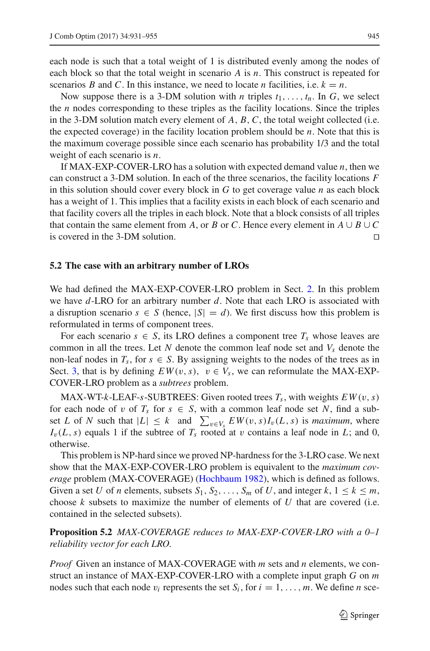each node is such that a total weight of 1 is distributed evenly among the nodes of each block so that the total weight in scenario *A* is *n*. This construct is repeated for scenarios *B* and *C*. In this instance, we need to locate *n* facilities, i.e.  $k = n$ .

Now suppose there is a 3-DM solution with *n* triples  $t_1, \ldots, t_n$ . In G, we select the *n* nodes corresponding to these triples as the facility locations. Since the triples in the 3-DM solution match every element of  $A$ ,  $B$ ,  $C$ , the total weight collected (i.e. the expected coverage) in the facility location problem should be *n*. Note that this is the maximum coverage possible since each scenario has probability 1/3 and the total weight of each scenario is *n*.

If MAX-EXP-COVER-LRO has a solution with expected demand value *n*, then we can construct a 3-DM solution. In each of the three scenarios, the facility locations *F* in this solution should cover every block in *G* to get coverage value *n* as each block has a weight of 1. This implies that a facility exists in each block of each scenario and that facility covers all the triples in each block. Note that a block consists of all triples that contain the same element from *A*, or *B* or *C*. Hence every element in  $A \cup B \cup C$  is covered in the 3-DM solution is covered in the 3-DM solution.

#### **5.2 The case with an arbitrary number of LROs**

We had defined the MAX-EXP-COVER-LRO problem in Sect. [2.](#page-2-0) In this problem we have *d*-LRO for an arbitrary number *d*. Note that each LRO is associated with a disruption scenario  $s \in S$  (hence,  $|S| = d$ ). We first discuss how this problem is reformulated in terms of component trees.

For each scenario  $s \in S$ , its LRO defines a component tree  $T_s$  whose leaves are common in all the trees. Let N denote the common leaf node set and  $V_s$  denote the non-leaf nodes in  $T_s$ , for  $s \in S$ . By assigning weights to the nodes of the trees as in Sect. [3,](#page-4-0) that is by defining  $EW(v, s)$ ,  $v \in V_s$ , we can reformulate the MAX-EXP-COVER-LRO problem as a *subtrees* problem.

MAX-WT- $k$ -LEAF- $s$ -SUBTREES: Given rooted trees  $T_s$ , with weights  $EW(v, s)$ for each node of v of  $T_s$  for  $s \in S$ , with a common leaf node set N, find a subset *L* of *N* such that  $|L| \leq k$  and  $\sum_{v \in V_s} E W(v, s) I_v(L, s)$  is *maximum*, where  $I_v(L, s)$  equals 1 if the subtree of  $T_s$  rooted at v contains a leaf node in *L*; and 0, otherwise.

This problem is NP-hard since we proved NP-hardness for the 3-LRO case. We next show that the MAX-EXP-COVER-LRO problem is equivalent to the *maximum coverage* problem (MAX-COVERAGE) [\(Hochbaum 1982](#page-24-14)), which is defined as follows. Given a set *U* of *n* elements, subsets  $S_1, S_2, \ldots, S_m$  of *U*, and integer  $k, 1 \le k \le m$ , choose  $k$  subsets to maximize the number of elements of  $U$  that are covered (i.e. contained in the selected subsets).

**Proposition 5.2** *MAX-COVERAGE reduces to MAX-EXP-COVER-LRO with a 0–1 reliability vector for each LRO.*

*Proof* Given an instance of MAX-COVERAGE with *m* sets and *n* elements, we construct an instance of MAX-EXP-COVER-LRO with a complete input graph *G* on *m* nodes such that each node  $v_i$  represents the set  $S_i$ , for  $i = 1, \ldots, m$ . We define *n* sce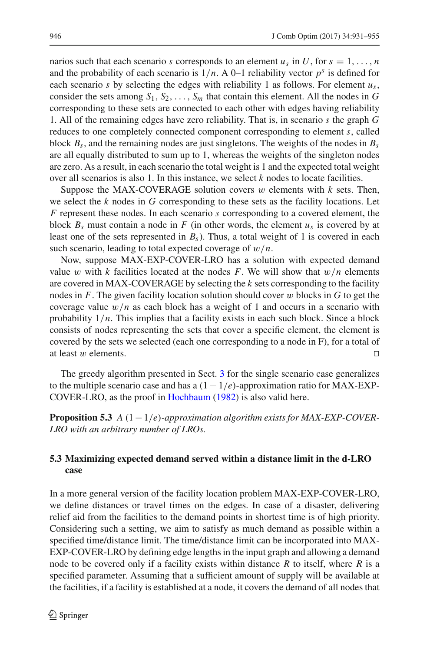narios such that each scenario *s* corresponds to an element  $u_s$  in *U*, for  $s = 1, \ldots, n$ and the probability of each scenario is  $1/n$ . A 0–1 reliability vector  $p<sup>s</sup>$  is defined for each scenario *s* by selecting the edges with reliability 1 as follows. For element  $u_s$ , consider the sets among  $S_1, S_2, \ldots, S_m$  that contain this element. All the nodes in *G* corresponding to these sets are connected to each other with edges having reliability 1. All of the remaining edges have zero reliability. That is, in scenario *s* the graph *G* reduces to one completely connected component corresponding to element *s*, called block  $B_s$ , and the remaining nodes are just singletons. The weights of the nodes in  $B_s$ are all equally distributed to sum up to 1, whereas the weights of the singleton nodes are zero. As a result, in each scenario the total weight is 1 and the expected total weight over all scenarios is also 1. In this instance, we select *k* nodes to locate facilities.

Suppose the MAX-COVERAGE solution covers w elements with *k* sets. Then, we select the *k* nodes in *G* corresponding to these sets as the facility locations. Let *F* represent these nodes. In each scenario *s* corresponding to a covered element, the block  $B_s$  must contain a node in F (in other words, the element  $u_s$  is covered by at least one of the sets represented in  $B_s$ ). Thus, a total weight of 1 is covered in each such scenario, leading to total expected coverage of w/*n*.

Now, suppose MAX-EXP-COVER-LRO has a solution with expected demand value w with  $k$  facilities located at the nodes  $F$ . We will show that  $w/n$  elements are covered in MAX-COVERAGE by selecting the *k* sets corresponding to the facility nodes in *F*. The given facility location solution should cover w blocks in *G* to get the coverage value  $w/n$  as each block has a weight of 1 and occurs in a scenario with probability  $1/n$ . This implies that a facility exists in each such block. Since a block consists of nodes representing the sets that cover a specific element, the element is covered by the sets we selected (each one corresponding to a node in F), for a total of at least w elements.  $\Box$ 

The greedy algorithm presented in Sect. [3](#page-4-0) for the single scenario case generalizes to the multiple scenario case and has a  $(1 - 1/e)$ -approximation ratio for MAX-EXP-COVER-LRO, as the proof in [Hochbaum](#page-24-14) [\(1982](#page-24-14)) is also valid here.

**Proposition 5.3** *A* (1−1/*e*)*-approximation algorithm exists for MAX-EXP-COVER-LRO with an arbitrary number of LROs.*

# **5.3 Maximizing expected demand served within a distance limit in the d-LRO case**

In a more general version of the facility location problem MAX-EXP-COVER-LRO, we define distances or travel times on the edges. In case of a disaster, delivering relief aid from the facilities to the demand points in shortest time is of high priority. Considering such a setting, we aim to satisfy as much demand as possible within a specified time/distance limit. The time/distance limit can be incorporated into MAX-EXP-COVER-LRO by defining edge lengths in the input graph and allowing a demand node to be covered only if a facility exists within distance *R* to itself, where *R* is a specified parameter. Assuming that a sufficient amount of supply will be available at the facilities, if a facility is established at a node, it covers the demand of all nodes that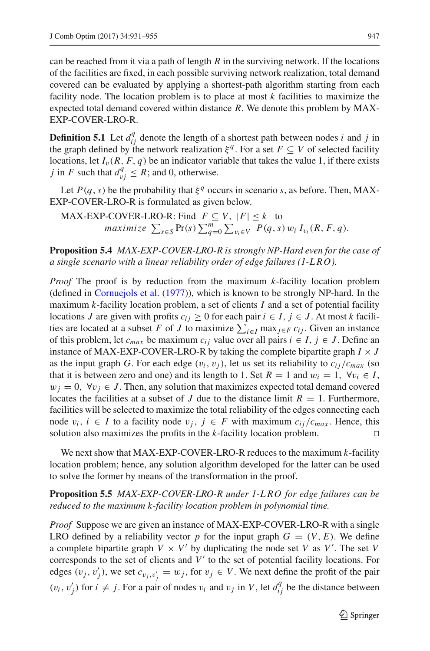can be reached from it via a path of length *R* in the surviving network. If the locations of the facilities are fixed, in each possible surviving network realization, total demand covered can be evaluated by applying a shortest-path algorithm starting from each facility node. The location problem is to place at most *k* facilities to maximize the expected total demand covered within distance *R*. We denote this problem by MAX-EXP-COVER-LRO-R.

**Definition 5.1** Let  $d_{ij}^q$  denote the length of a shortest path between nodes *i* and *j* in the graph defined by the network realization  $\xi^q$ . For a set  $F \subseteq V$  of selected facility locations, let  $I_v(R, F, q)$  be an indicator variable that takes the value 1, if there exists *j* in *F* such that  $d_{vj}^q \leq R$ ; and 0, otherwise.

Let  $P(q, s)$  be the probability that  $\xi^q$  occurs in scenario *s*, as before. Then, MAX-EXP-COVER-LRO-R is formulated as given below.

MAX-EXP-COVER-LRO-R: Find 
$$
F \subseteq V
$$
,  $|F| \le k$  to  
maximize  $\sum_{s \in S} Pr(s) \sum_{q=0}^{m} \sum_{v_i \in V} P(q, s) w_i I_{v_i}(R, F, q)$ .

**Proposition 5.4** *MAX-EXP-COVER-LRO-R is strongly NP-Hard even for the case of a single scenario with a linear reliability order of edge failures (1-L RO).*

*Proof* The proof is by reduction from the maximum *k*-facility location problem (defined in [Cornuejols et al.](#page-24-8) [\(1977](#page-24-8))), which is known to be strongly NP-hard. In the maximum *k*-facility location problem, a set of clients *I* and a set of potential facility locations *J* are given with profits  $c_{ij} \geq 0$  for each pair  $i \in I$ ,  $j \in J$ . At most *k* facilities are located at a subset *F* of *J* to maximize  $\sum_{i \in I} \max_{j \in F} c_{ij}$ . Given an instance of this problem, let  $c_{max}$  be maximum  $c_{ij}$  value over all pairs  $i \in I$ ,  $j \in J$ . Define an instance of MAX-EXP-COVER-LRO-R by taking the complete bipartite graph  $I \times J$ as the input graph *G*. For each edge  $(v_i, v_j)$ , let us set its reliability to  $c_{ij}/c_{max}$  (so that it is between zero and one) and its length to 1. Set  $R = 1$  and  $w_i = 1$ ,  $\forall v_i \in I$ ,  $w_i = 0$ ,  $\forall v_i \in J$ . Then, any solution that maximizes expected total demand covered locates the facilities at a subset of *J* due to the distance limit  $R = 1$ . Furthermore, facilities will be selected to maximize the total reliability of the edges connecting each node  $v_i$ , *i* ∈ *I* to a facility node  $v_j$ , *j* ∈ *F* with maximum  $c_{ij}/c_{max}$ . Hence, this solution also maximizes the profits in the *k*-facility location problem.  $□$ solution also maximizes the profits in the *k*-facility location problem.

We next show that MAX-EXP-COVER-LRO-R reduces to the maximum *k*-facility location problem; hence, any solution algorithm developed for the latter can be used to solve the former by means of the transformation in the proof.

# <span id="page-16-0"></span>**Proposition 5.5** *MAX-EXP-COVER-LRO-R under 1-L RO for edge failures can be reduced to the maximum k-facility location problem in polynomial time.*

*Proof* Suppose we are given an instance of MAX-EXP-COVER-LRO-R with a single LRO defined by a reliability vector p for the input graph  $G = (V, E)$ . We define a complete bipartite graph  $V \times V'$  by duplicating the node set *V* as *V'*. The set *V* corresponds to the set of clients and  $V'$  to the set of potential facility locations. For edges  $(v_j, v'_j)$ , we set  $c_{v_j, v'_j} = w_j$ , for  $v_j \in V$ . We next define the profit of the pair  $(v_i, v'_j)$  for  $i \neq j$ . For a pair of nodes  $v_i$  and  $v_j$  in *V*, let  $d_{ij}^q$  be the distance between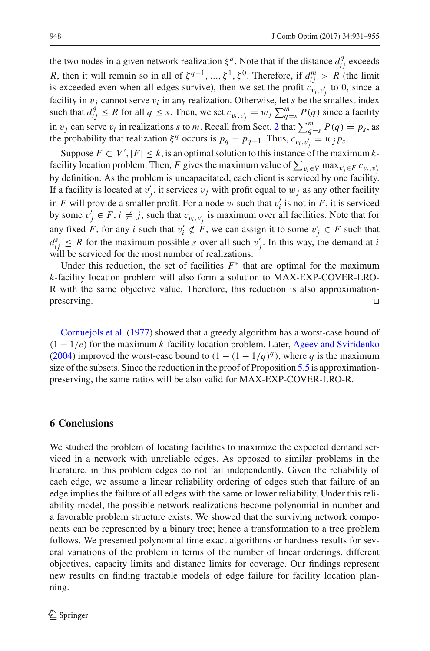the two nodes in a given network realization  $\xi^q$ . Note that if the distance  $d_{ij}^q$  exceeds *R*, then it will remain so in all of  $\xi^{q-1}, ..., \xi^1, \xi^0$ . Therefore, if  $d_{ij}^m > R$  (the limit is exceeded even when all edges survive), then we set the profit  $c_{v_i,v'_j}$  to 0, since a facility in  $v_j$  cannot serve  $v_i$  in any realization. Otherwise, let *s* be the smallest index such that  $d_{ij}^{\hat{q}} \leq R$  for all  $q \leq s$ . Then, we set  $c_{v_i, v'_j} = w_j \sum_{q=s}^{m} P(q)$  since a facility in  $v_j$  can serve  $v_i$  in realizations *s* to *m*. Recall from Sect. [2](#page-2-0) that  $\sum_{q=s}^{m} P(q) = p_s$ , as the probability that realization  $\xi^q$  occurs is  $p_q - p_{q+1}$ . Thus,  $c_{v_i, v'_j} = w_j p_s$ .

Suppose  $F \subset V'$ ,  $|F| \leq k$ , is an optimal solution to this instance of the maximum *k*facility location problem. Then, *F* gives the maximum value of  $\sum_{v_i \in V} \max_{v'_j \in F} c_{v_i, v'_j}$ by definition. As the problem is uncapacitated, each client is serviced by one facility. If a facility is located at  $v'_j$ , it services  $v_j$  with profit equal to  $w_j$  as any other facility in *F* will provide a smaller profit. For a node  $v_i$  such that  $v'_i$  is not in *F*, it is serviced by some  $v'_j \in F$ ,  $i \neq j$ , such that  $c_{v_i, v'_j}$  is maximum over all facilities. Note that for any fixed *F*, for any *i* such that  $v'_i \notin F$ , we can assign it to some  $v'_j \in F$  such that  $d_{ij}^s \leq R$  for the maximum possible *s* over all such  $v'_j$ . In this way, the demand at *i* will be serviced for the most number of realizations.

Under this reduction, the set of facilities  $F^*$  that are optimal for the maximum *k*-facility location problem will also form a solution to MAX-EXP-COVER-LRO-R with the same objective value. Therefore, this reduction is also approximation $p$ reserving.  $\Box$ 

Cornuejols et al. [\(1977\)](#page-24-8) showed that a greedy algorithm has a worst-case bound of (1 − 1/*e*) for the maximum *k*-facility location problem. Later, [Ageev and Sviridenko](#page-23-1) [\(2004\)](#page-23-1) improved the worst-case bound to  $(1 - (1 - 1/q)^q)$ , where *q* is the maximum size of the subsets. Since the reduction in the proof of Proposition [5.5](#page-16-0) is approximationpreserving, the same ratios will be also valid for MAX-EXP-COVER-LRO-R.

## <span id="page-17-0"></span>**6 Conclusions**

We studied the problem of locating facilities to maximize the expected demand serviced in a network with unreliable edges. As opposed to similar problems in the literature, in this problem edges do not fail independently. Given the reliability of each edge, we assume a linear reliability ordering of edges such that failure of an edge implies the failure of all edges with the same or lower reliability. Under this reliability model, the possible network realizations become polynomial in number and a favorable problem structure exists. We showed that the surviving network components can be represented by a binary tree; hence a transformation to a tree problem follows. We presented polynomial time exact algorithms or hardness results for several variations of the problem in terms of the number of linear orderings, different objectives, capacity limits and distance limits for coverage. Our findings represent new results on finding tractable models of edge failure for facility location planning.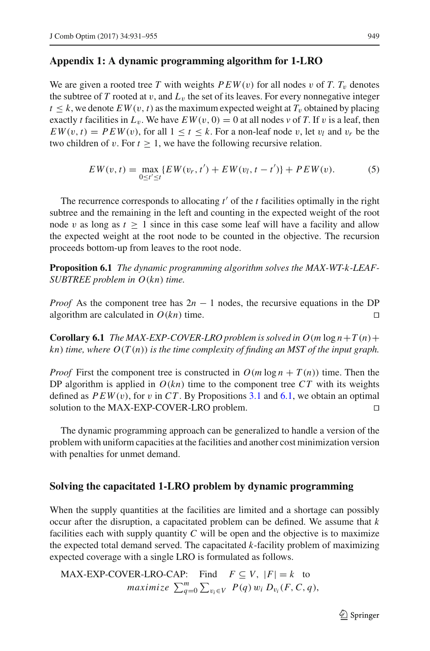# **Appendix 1: A dynamic programming algorithm for 1-LRO**

We are given a rooted tree *T* with weights  $PEW(v)$  for all nodes v of *T*.  $T_v$  denotes the subtree of *T* rooted at v, and  $L<sub>v</sub>$  the set of its leaves. For every nonnegative integer  $t \leq k$ , we denote  $EW(v, t)$  as the maximum expected weight at  $T_v$  obtained by placing exactly *t* facilities in  $L_v$ . We have  $EW(v, 0) = 0$  at all nodes v of T. If v is a leaf, then  $EW(v, t) = PEW(v)$ , for all  $1 \le t \le k$ . For a non-leaf node v, let  $v_l$  and  $v_r$  be the two children of v. For  $t \geq 1$ , we have the following recursive relation.

<span id="page-18-0"></span>
$$
EW(v, t) = \max_{0 \le t' \le t} \{ EW(v_r, t') + EW(v_l, t - t') \} + PEW(v). \tag{5}
$$

The recurrence corresponds to allocating  $t'$  of the  $t$  facilities optimally in the right subtree and the remaining in the left and counting in the expected weight of the root node v as long as  $t \geq 1$  since in this case some leaf will have a facility and allow the expected weight at the root node to be counted in the objective. The recursion proceeds bottom-up from leaves to the root node.

**Proposition 6.1** *The dynamic programming algorithm solves the MAX-WT-k-LEAF-SUBTREE problem in O*(*kn*) *time.*

*Proof* As the component tree has  $2n - 1$  nodes, the recursive equations in the DP algorithm are calculated in  $O(kn)$  time. algorithm are calculated in  $O(kn)$  time.

**Corollary 6.1** *The MAX-EXP-COVER-LRO problem is solved in*  $O(m \log n + T(n) + T(n))$ *kn*) *time, where O*(*T* (*n*)) *is the time complexity of finding an MST of the input graph.*

*Proof* First the component tree is constructed in  $O(m \log n + T(n))$  time. Then the DP algorithm is applied in  $O(kn)$  time to the component tree  $CT$  with its weights defined as  $PEW(v)$ , for v in CT. By Propositions [3.1](#page-7-0) and [6.1,](#page-18-0) we obtain an optimal solution to the MAX-EXP-COVER-LRO problem.

The dynamic programming approach can be generalized to handle a version of the problem with uniform capacities at the facilities and another cost minimization version with penalties for unmet demand.

### **Solving the capacitated 1-LRO problem by dynamic programming**

When the supply quantities at the facilities are limited and a shortage can possibly occur after the disruption, a capacitated problem can be defined. We assume that *k* facilities each with supply quantity *C* will be open and the objective is to maximize the expected total demand served. The capacitated *k*-facility problem of maximizing expected coverage with a single LRO is formulated as follows.

MAX-EXP-COVER-LRO-CAP: Find  $F \subseteq V$ ,  $|F| = k$  to *maximize*  $\sum_{q=0}^{m} \sum_{v_i \in V} P(q) w_i D_{v_i}(F, C, q)$ ,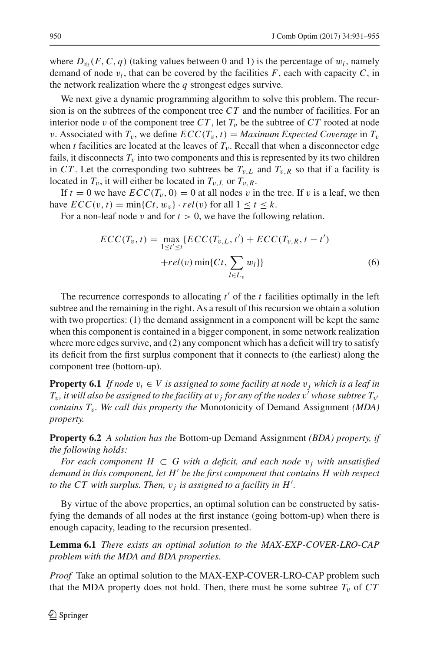where  $D_{v_i}(F, C, q)$  (taking values between 0 and 1) is the percentage of  $w_i$ , namely demand of node  $v_i$ , that can be covered by the facilities  $F$ , each with capacity  $C$ , in the network realization where the *q* strongest edges survive.

We next give a dynamic programming algorithm to solve this problem. The recursion is on the subtrees of the component tree *CT* and the number of facilities. For an interior node v of the component tree  $CT$ , let  $T_v$  be the subtree of  $CT$  rooted at node v. Associated with  $T_v$ , we define  $\mathcal{ECC}(T_v, t) = \text{Maximum Expected Coverage in } T_v$ when *t* facilities are located at the leaves of  $T<sub>v</sub>$ . Recall that when a disconnector edge fails, it disconnects  $T<sub>v</sub>$  into two components and this is represented by its two children in *CT*. Let the corresponding two subtrees be  $T_{v,L}$  and  $T_{v,R}$  so that if a facility is located in  $T_v$ , it will either be located in  $T_{v,L}$  or  $T_{v,R}$ .

If  $t = 0$  we have  $ECC(T_v, 0) = 0$  at all nodes v in the tree. If v is a leaf, we then have  $\text{ECC}(v, t) = \min\{\text{C}t, w_v\} \cdot rel(v)$  for all  $1 \le t \le k$ .

For a non-leaf node  $v$  and for  $t > 0$ , we have the following relation.

$$
ECC(T_v, t) = \max_{1 \le t' \le t} \{ECC(T_{v, L}, t') + ECC(T_{v, R}, t - t') + rel(v) \min\{Ct, \sum_{l \in L_v} w_l\}\}\tag{6}
$$

The recurrence corresponds to allocating  $t'$  of the  $t$  facilities optimally in the left subtree and the remaining in the right. As a result of this recursion we obtain a solution with two properties: (1) the demand assignment in a component will be kept the same when this component is contained in a bigger component, in some network realization where more edges survive, and (2) any component which has a deficit will try to satisfy its deficit from the first surplus component that it connects to (the earliest) along the component tree (bottom-up).

**Property 6.1** *If node*  $v_i \in V$  *is assigned to some facility at node*  $v_j$  *which is a leaf in*  $T_v$ , it will also be assigned to the facility at  $v_j$  for any of the nodes  $v'$  whose subtree  $T_{v'}$ *contains T*v*. We call this property the* Monotonicity of Demand Assignment *(MDA) property.*

**Property 6.2** *A solution has the* Bottom-up Demand Assignment *(BDA) property, if the following holds:*

*For each component H*  $\subset$  *G* with a deficit, and each node  $v_i$  with unsatisfied *demand in this component, let H be the first component that contains H with respect to the CT with surplus. Then,*  $v_j$  *is assigned to a facility in*  $H'$ *.* 

By virtue of the above properties, an optimal solution can be constructed by satisfying the demands of all nodes at the first instance (going bottom-up) when there is enough capacity, leading to the recursion presented.

**Lemma 6.1** *There exists an optimal solution to the MAX-EXP-COVER-LRO-CAP problem with the MDA and BDA properties.*

*Proof* Take an optimal solution to the MAX-EXP-COVER-LRO-CAP problem such that the MDA property does not hold. Then, there must be some subtree  $T_v$  of  $CT$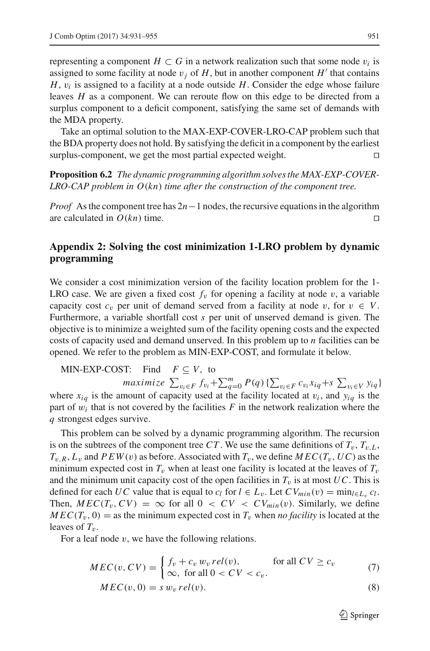representing a component  $H \subset G$  in a network realization such that some node  $v_i$  is assigned to some facility at node  $v_i$  of  $H$ , but in another component  $H'$  that contains *H*,  $v_i$  is assigned to a facility at a node outside *H*. Consider the edge whose failure leaves *H* as a component. We can reroute flow on this edge to be directed from a surplus component to a deficit component, satisfying the same set of demands with the MDA property.

Take an optimal solution to the MAX-EXP-COVER-LRO-CAP problem such that the BDA property does not hold. By satisfying the deficit in a component by the earliest surplus-component, we get the most partial expected weight.

**Proposition 6.2** *The dynamic programming algorithm solves the MAX-EXP-COVER-LRO-CAP problem in O*(*kn*) *time after the construction of the component tree.*

*Proof* As the component tree has 2*n*−1 nodes, the recursive equations in the algorithm are calculated in  $O(kn)$  time.

# **Appendix 2: Solving the cost minimization 1-LRO problem by dynamic programming**

We consider a cost minimization version of the facility location problem for the 1- LRO case. We are given a fixed cost  $f<sub>v</sub>$  for opening a facility at node  $v$ , a variable capacity cost  $c_v$  per unit of demand served from a facility at node v, for  $v \in V$ . Furthermore, a variable shortfall cost *s* per unit of unserved demand is given. The objective is to minimize a weighted sum of the facility opening costs and the expected costs of capacity used and demand unserved. In this problem up to *n* facilities can be opened. We refer to the problem as MIN-EXP-COST, and formulate it below.

MIN-EXP-COST: Find 
$$
F \subseteq V
$$
, to  
\n*maximize*  $\sum_{v_i \in F} f_{v_i} + \sum_{q=0}^{m} P(q) \{ \sum_{v_i \in F} c_{v_i} x_{iq} + s \sum_{v_i \in V} y_{iq} \}$   
\nwhere  $x_{iq}$  is the amount of capacity used at the facility located at  $v_i$ , and  $y_{iq}$  is the  
\npart of  $w_i$  that is not covered by the facilities F in the network realization where the  
\nq strongest edges survive.

This problem can be solved by a dynamic programming algorithm. The recursion is on the subtrees of the component tree CT. We use the same definitions of  $T_v$ ,  $T_{v}$ ,  $L$ ,  $T_{v,R}$ ,  $L_v$  and  $PEW(v)$  as before. Associated with  $T_v$ , we define  $MEC(T_v, UC)$  as the minimum expected cost in  $T_v$  when at least one facility is located at the leaves of  $T_v$ and the minimum unit capacity cost of the open facilities in  $T_v$  is at most  $UC$ . This is defined for each *UC* value that is equal to  $c_l$  for  $l \in L_v$ . Let  $CV_{min}(v) = min_{l \in L_v} c_l$ . Then,  $MEC(T_v, CV) = \infty$  for all  $0 < CV < CV_{min}(v)$ . Similarly, we define  $MEC(T_v, 0) =$  as the minimum expected cost in  $T_v$  when *no facility* is located at the leaves of  $T_v$ .

For a leaf node  $v$ , we have the following relations.

$$
MEC(v, CV) = \begin{cases} f_v + c_v w_v rel(v), & \text{for all } CV \ge c_v \\ \infty, & \text{for all } 0 < CV < c_v. \end{cases}
$$
 (7)

$$
MEC(v, 0) = s w_v rel(v).
$$
\n(8)

 $\mathcal{D}$  Springer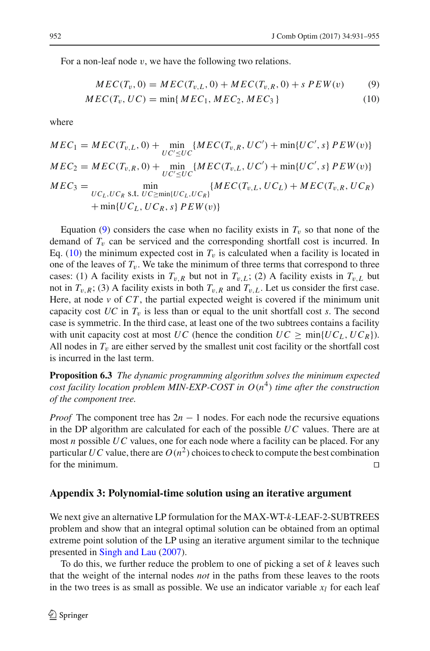For a non-leaf node  $v$ , we have the following two relations.

<span id="page-21-0"></span>
$$
MEC(T_v, 0) = MEC(T_{v,L}, 0) + MEC(T_{v,R}, 0) + sPEW(v) \tag{9}
$$

$$
MEC(T_v, UC) = \min\{MEC_1,MEC_2,MEC_3\}
$$
\n
$$
(10)
$$

where

$$
MEC_1 = MEC(T_{v,L}, 0) + \min_{U'C'\leq U C} \{MEC(T_{v,R}, UC') + \min\{UC', s\} PEW(v)\}
$$
  
\n
$$
MEC_2 = MEC(T_{v,R}, 0) + \min_{U'C'\leq U C} \{MEC(T_{v,L}, UC') + \min\{UC', s\} PEW(v)\}
$$
  
\n
$$
MEC_3 = \min_{U C_L, U C_R \text{ s.t. } U C \geq \min\{U C_L, U C_R\}} \{MEC(T_{v,L}, UC_L) + MEC(T_{v,R}, UC_R) + \min\{UC_L, UC_R, s\} PEW(v)\}
$$

Equation [\(9\)](#page-21-0) considers the case when no facility exists in  $T_v$  so that none of the demand of  $T_v$  can be serviced and the corresponding shortfall cost is incurred. In Eq. [\(10\)](#page-21-0) the minimum expected cost in  $T_v$  is calculated when a facility is located in one of the leaves of  $T_v$ . We take the minimum of three terms that correspond to three cases: (1) A facility exists in  $T_{v,R}$  but not in  $T_{v,L}$ ; (2) A facility exists in  $T_{v,L}$  but not in  $T_{v,R}$ ; (3) A facility exists in both  $T_{v,R}$  and  $T_{v,L}$ . Let us consider the first case. Here, at node  $\nu$  of  $CT$ , the partial expected weight is covered if the minimum unit capacity cost  $UC$  in  $T_v$  is less than or equal to the unit shortfall cost *s*. The second case is symmetric. In the third case, at least one of the two subtrees contains a facility with unit capacity cost at most *UC* (hence the condition  $UC \ge \min\{UC_L, UC_R\}$ ). All nodes in  $T<sub>v</sub>$  are either served by the smallest unit cost facility or the shortfall cost is incurred in the last term.

**Proposition 6.3** *The dynamic programming algorithm solves the minimum expected cost facility location problem MIN-EXP-COST in*  $O(n^4)$  *time after the construction of the component tree.*

*Proof* The component tree has  $2n - 1$  nodes. For each node the recursive equations in the DP algorithm are calculated for each of the possible *UC* values. There are at most *n* possible *UC* values, one for each node where a facility can be placed. For any particular *UC* value, there are  $O(n^2)$  choices to check to compute the best combination for the minimum.

## **Appendix 3: Polynomial-time solution using an iterative argument**

We next give an alternative LP formulation for the MAX-WT-*k*-LEAF-2-SUBTREES problem and show that an integral optimal solution can be obtained from an optimal extreme point solution of the LP using an iterative argument similar to the technique presented in [Singh and Lau](#page-24-15) [\(2007](#page-24-15)).

To do this, we further reduce the problem to one of picking a set of *k* leaves such that the weight of the internal nodes *not* in the paths from these leaves to the roots in the two trees is as small as possible. We use an indicator variable  $x_l$  for each leaf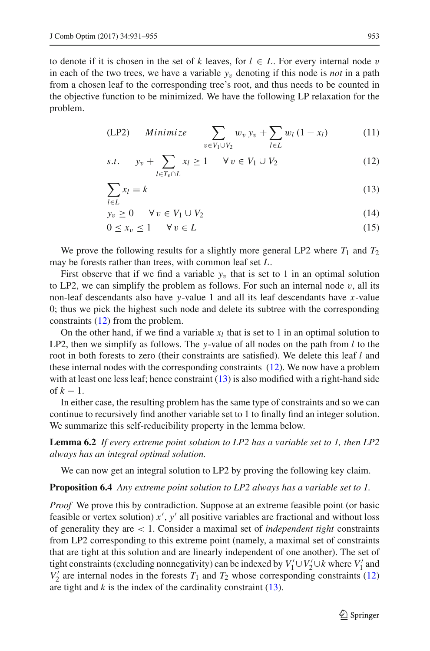to denote if it is chosen in the set of *k* leaves, for  $l \in L$ . For every internal node v in each of the two trees, we have a variable  $y_v$  denoting if this node is *not* in a path from a chosen leaf to the corresponding tree's root, and thus needs to be counted in the objective function to be minimized. We have the following LP relaxation for the problem.

<span id="page-22-0"></span>
$$
(LP2) \qquad Minimize \qquad \sum_{v \in V_1 \cup V_2} w_v y_v + \sum_{l \in L} w_l (1 - x_l) \tag{11}
$$

$$
s.t. \t y_v + \sum_{l \in T_v \cap L} x_l \ge 1 \quad \forall v \in V_1 \cup V_2 \t (12)
$$

$$
\sum_{l \in L} x_l = k \tag{13}
$$

$$
y_v \ge 0 \qquad \forall \, v \in V_1 \cup V_2 \tag{14}
$$

$$
0 \le x_v \le 1 \qquad \forall \, v \in L \tag{15}
$$

We prove the following results for a slightly more general LP2 where  $T_1$  and  $T_2$ may be forests rather than trees, with common leaf set *L*.

First observe that if we find a variable  $y_v$  that is set to 1 in an optimal solution to LP2, we can simplify the problem as follows. For such an internal node  $v$ , all its non-leaf descendants also have *y*-value 1 and all its leaf descendants have *x*-value 0; thus we pick the highest such node and delete its subtree with the corresponding constraints [\(12\)](#page-22-0) from the problem.

On the other hand, if we find a variable  $x_l$  that is set to 1 in an optimal solution to LP2, then we simplify as follows. The *y*-value of all nodes on the path from *l* to the root in both forests to zero (their constraints are satisfied). We delete this leaf *l* and these internal nodes with the corresponding constraints [\(12\)](#page-22-0). We now have a problem with at least one less leaf; hence constraint  $(13)$  is also modified with a right-hand side of  $k-1$ .

In either case, the resulting problem has the same type of constraints and so we can continue to recursively find another variable set to 1 to finally find an integer solution. We summarize this self-reducibility property in the lemma below.

**Lemma 6.2** *If every extreme point solution to LP2 has a variable set to 1, then LP2 always has an integral optimal solution.*

<span id="page-22-2"></span><span id="page-22-1"></span>We can now get an integral solution to LP2 by proving the following key claim.

#### **Proposition 6.4** *Any extreme point solution to LP2 always has a variable set to 1.*

*Proof* We prove this by contradiction. Suppose at an extreme feasible point (or basic feasible or vertex solution)  $x'$ ,  $y'$  all positive variables are fractional and without loss of generality they are < 1. Consider a maximal set of *independent tight* constraints from LP2 corresponding to this extreme point (namely, a maximal set of constraints that are tight at this solution and are linearly independent of one another). The set of tight constraints (excluding nonnegativity) can be indexed by  $V_1' \cup V_2' \cup k$  where  $V_1'$  and  $V_2'$  are internal nodes in the forests  $T_1$  and  $T_2$  whose corresponding constraints [\(12\)](#page-22-0) are tight and  $k$  is the index of the cardinality constraint  $(13)$ .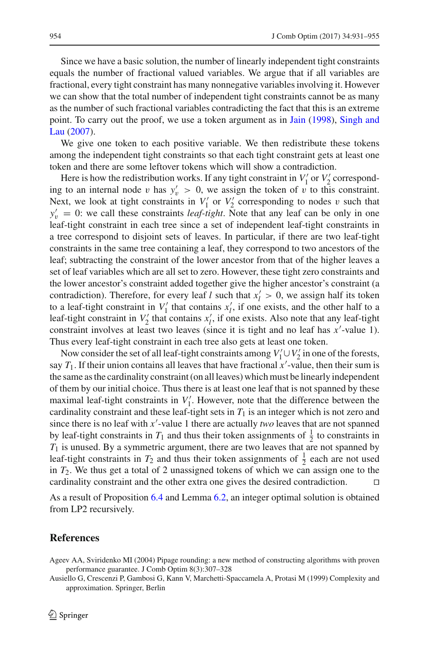Since we have a basic solution, the number of linearly independent tight constraints equals the number of fractional valued variables. We argue that if all variables are fractional, every tight constraint has many nonnegative variables involving it. However we can show that the total number of independent tight constraints cannot be as many as the number of such fractional variables contradicting the fact that this is an extreme poi[nt.](#page-24-15) [To](#page-24-15) [carry](#page-24-15) [out](#page-24-15) [the](#page-24-15) [proof,](#page-24-15) [we](#page-24-15) [use](#page-24-15) [a](#page-24-15) [token](#page-24-15) [argument](#page-24-15) [as](#page-24-15) [in](#page-24-15) [Jain](#page-24-16) [\(1998\)](#page-24-16), Singh and Lau [\(2007\)](#page-24-15).

We give one token to each positive variable. We then redistribute these tokens among the independent tight constraints so that each tight constraint gets at least one token and there are some leftover tokens which will show a contradiction.

Here is how the redistribution works. If any tight constraint in  $V_1'$  or  $V_2'$  corresponding to an internal node v has  $y'_v > 0$ , we assign the token of v to this constraint. Next, we look at tight constraints in  $V_1'$  or  $V_2'$  corresponding to nodes v such that  $y'_v = 0$ : we call these constraints *leaf-tight*. Note that any leaf can be only in one leaf-tight constraint in each tree since a set of independent leaf-tight constraints in a tree correspond to disjoint sets of leaves. In particular, if there are two leaf-tight constraints in the same tree containing a leaf, they correspond to two ancestors of the leaf; subtracting the constraint of the lower ancestor from that of the higher leaves a set of leaf variables which are all set to zero. However, these tight zero constraints and the lower ancestor's constraint added together give the higher ancestor's constraint (a contradiction). Therefore, for every leaf *l* such that  $x_l' > 0$ , we assign half its token to a leaf-tight constraint in  $V_1'$  that contains  $x_1'$ , if one exists, and the other half to a leaf-tight constraint in  $V_2'$  that contains  $x'_i$ , if one exists. Also note that any leaf-tight constraint involves at least two leaves (since it is tight and no leaf has *x*'-value 1). Thus every leaf-tight constraint in each tree also gets at least one token.

Now consider the set of all leaf-tight constraints among  $V_1' \cup V_2'$  in one of the forests, say  $T_1$ . If their union contains all leaves that have fractional  $x'$ -value, then their sum is the same as the cardinality constraint (on all leaves) which must be linearly independent of them by our initial choice. Thus there is at least one leaf that is not spanned by these maximal leaf-tight constraints in  $V_1'$ . However, note that the difference between the cardinality constraint and these leaf-tight sets in  $T_1$  is an integer which is not zero and since there is no leaf with  $x'$ -value 1 there are actually *two* leaves that are not spanned by leaf-tight constraints in  $T_1$  and thus their token assignments of  $\frac{1}{2}$  to constraints in *T*<sup>1</sup> is unused. By a symmetric argument, there are two leaves that are not spanned by leaf-tight constraints in  $T_2$  and thus their token assignments of  $\frac{1}{2}$  each are not used in *T*2. We thus get a total of 2 unassigned tokens of which we can assign one to the cardinality constraint and the other extra one gives the desired contradiction.

As a result of Proposition [6.4](#page-22-1) and Lemma [6.2,](#page-22-2) an integer optimal solution is obtained from LP2 recursively.

# **References**

<span id="page-23-0"></span>Ausiello G, Crescenzi P, Gambosi G, Kann V, Marchetti-Spaccamela A, Protasi M (1999) Complexity and approximation. Springer, Berlin

<span id="page-23-1"></span>Ageev AA, Sviridenko MI (2004) Pipage rounding: a new method of constructing algorithms with proven performance guarantee. J Comb Optim 8(3):307–328